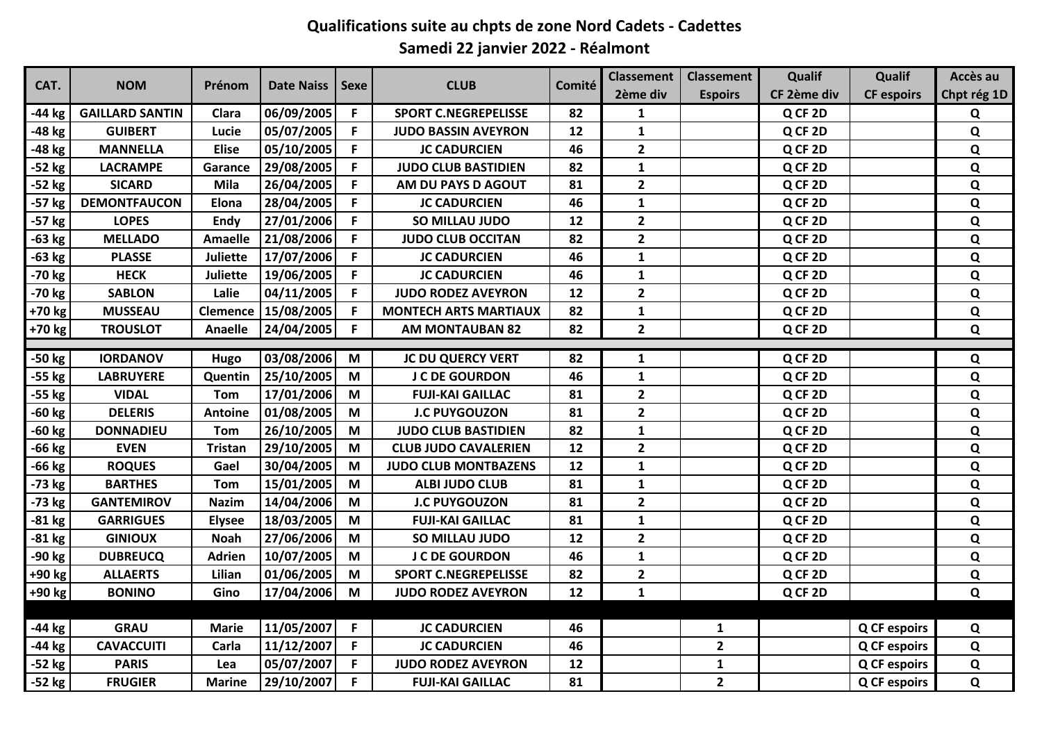## **Qualifications suite au chpts de zone Nord Cadets - Cadettes Samedi 22 janvier 2022 - Réalmont**

| CAT.     | <b>NOM</b>             | Prénom          | <b>Date Naiss</b> | <b>Sexe</b> | <b>CLUB</b>                  | Comité | <b>Classement</b>       | <b>Classement</b>       | Qualif      | Qualif              | Accès au    |
|----------|------------------------|-----------------|-------------------|-------------|------------------------------|--------|-------------------------|-------------------------|-------------|---------------------|-------------|
|          |                        |                 |                   |             |                              |        | 2ème div                | <b>Espoirs</b>          | CF 2ème div | <b>CF espoirs</b>   | Chpt rég 1D |
| -44 kg   | <b>GAILLARD SANTIN</b> | Clara           | 06/09/2005        | F.          | <b>SPORT C.NEGREPELISSE</b>  | 82     | 1                       |                         | Q CF 2D     |                     | Q           |
| -48 kg   | <b>GUIBERT</b>         | Lucie           | 05/07/2005        | F           | <b>JUDO BASSIN AVEYRON</b>   | 12     | 1                       |                         | Q CF 2D     |                     | Q           |
| -48 kg   | <b>MANNELLA</b>        | <b>Elise</b>    | 05/10/2005        | F.          | <b>JC CADURCIEN</b>          | 46     | $\overline{2}$          |                         | Q CF 2D     |                     | Q           |
| $-52$ kg | <b>LACRAMPE</b>        | Garance         | 29/08/2005        | F.          | <b>JUDO CLUB BASTIDIEN</b>   | 82     | 1                       |                         | Q CF 2D     |                     | Q           |
| -52 kg   | <b>SICARD</b>          | Mila            | 26/04/2005        | F.          | AM DU PAYS D AGOUT           | 81     | $\mathbf{2}$            |                         | Q CF 2D     |                     | Q           |
| -57 kg   | <b>DEMONTFAUCON</b>    | Elona           | 28/04/2005        | F.          | <b>JC CADURCIEN</b>          | 46     | $\mathbf{1}$            |                         | Q CF 2D     |                     | $\mathbf Q$ |
| -57 kg   | <b>LOPES</b>           | Endy            | 27/01/2006        | F.          | SO MILLAU JUDO               | 12     | $\overline{2}$          |                         | Q CF 2D     |                     | Q           |
| $-63$ kg | <b>MELLADO</b>         | Amaelle         | 21/08/2006        | F           | <b>JUDO CLUB OCCITAN</b>     | 82     | $\mathbf{2}$            |                         | Q CF 2D     |                     | Q           |
| -63 kg   | <b>PLASSE</b>          | <b>Juliette</b> | 17/07/2006        | F.          | <b>JC CADURCIEN</b>          | 46     | 1                       |                         | Q CF 2D     |                     | Q           |
| -70 kg   | <b>HECK</b>            | Juliette        | 19/06/2005        | F.          | <b>JC CADURCIEN</b>          | 46     | $\mathbf{1}$            |                         | Q CF 2D     |                     | $\mathbf Q$ |
| -70 kg   | <b>SABLON</b>          | Lalie           | 04/11/2005        | F.          | <b>JUDO RODEZ AVEYRON</b>    | 12     | $\overline{2}$          |                         | Q CF 2D     |                     | Q           |
| +70 kg   | <b>MUSSEAU</b>         | Clemence        | 15/08/2005        | F.          | <b>MONTECH ARTS MARTIAUX</b> | 82     | $\mathbf 1$             |                         | Q CF 2D     |                     | $\mathbf Q$ |
| +70 kg   | <b>TROUSLOT</b>        | <b>Anaelle</b>  | 24/04/2005        | F.          | <b>AM MONTAUBAN 82</b>       | 82     | $\overline{2}$          |                         | Q CF 2D     |                     | Q           |
|          |                        |                 |                   |             |                              |        |                         |                         |             |                     |             |
| -50 kg   | <b>IORDANOV</b>        | Hugo            | 03/08/2006        | M           | <b>JC DU QUERCY VERT</b>     | 82     | $\mathbf{1}$            |                         | Q CF 2D     |                     | Q           |
| -55 kg   | <b>LABRUYERE</b>       | Quentin         | 25/10/2005        | M           | <b>J C DE GOURDON</b>        | 46     | $\mathbf{1}$            |                         | Q CF 2D     |                     | Q           |
| -55 kg   | <b>VIDAL</b>           | Tom             | 17/01/2006        | M           | <b>FUJI-KAI GAILLAC</b>      | 81     | $\mathbf{2}$            |                         | Q CF 2D     |                     | $\mathbf Q$ |
| -60 kg   | <b>DELERIS</b>         | <b>Antoine</b>  | 01/08/2005        | M           | <b>J.C PUYGOUZON</b>         | 81     | $\mathbf{2}$            |                         | Q CF 2D     |                     | $\mathbf Q$ |
| -60 kg   | <b>DONNADIEU</b>       | <b>Tom</b>      | 26/10/2005        | M           | <b>JUDO CLUB BASTIDIEN</b>   | 82     | 1                       |                         | Q CF 2D     |                     | $\mathbf Q$ |
| -66 kg   | <b>EVEN</b>            | <b>Tristan</b>  | 29/10/2005        | M           | <b>CLUB JUDO CAVALERIEN</b>  | 12     | $\overline{2}$          |                         | Q CF 2D     |                     | $\mathbf Q$ |
| -66 kg   | <b>ROQUES</b>          | Gael            | 30/04/2005        | M           | <b>JUDO CLUB MONTBAZENS</b>  | 12     | 1                       |                         | Q CF 2D     |                     | $\mathbf Q$ |
| -73 kg   | <b>BARTHES</b>         | Tom             | 15/01/2005        | M           | <b>ALBI JUDO CLUB</b>        | 81     | $\mathbf{1}$            |                         | Q CF 2D     |                     | $\mathbf Q$ |
| $-73$ kg | <b>GANTEMIROV</b>      | <b>Nazim</b>    | 14/04/2006        | M           | <b>J.C PUYGOUZON</b>         | 81     | $\overline{2}$          |                         | Q CF 2D     |                     | Q           |
| $-81$ kg | <b>GARRIGUES</b>       | <b>Elysee</b>   | 18/03/2005        | M           | <b>FUJI-KAI GAILLAC</b>      | 81     | $\mathbf{1}$            |                         | Q CF 2D     |                     | Q           |
| $-81$ kg | <b>GINIOUX</b>         | <b>Noah</b>     | 27/06/2006        | M           | SO MILLAU JUDO               | 12     | $\overline{2}$          |                         | Q CF 2D     |                     | $\mathbf Q$ |
| -90 kg   | <b>DUBREUCQ</b>        | Adrien          | 10/07/2005        | M           | <b>J C DE GOURDON</b>        | 46     | $\mathbf{1}$            |                         | Q CF 2D     |                     | $\mathbf Q$ |
| +90 kg   | <b>ALLAERTS</b>        | Lilian          | 01/06/2005        | M           | <b>SPORT C.NEGREPELISSE</b>  | 82     | $\overline{\mathbf{2}}$ |                         | Q CF 2D     |                     | Q           |
| +90 kg   | <b>BONINO</b>          | Gino            | 17/04/2006        | M           | <b>JUDO RODEZ AVEYRON</b>    | 12     | $\mathbf{1}$            |                         | Q CF 2D     |                     | $\mathbf Q$ |
|          |                        |                 |                   |             |                              |        |                         |                         |             |                     |             |
| -44 kg   | <b>GRAU</b>            | <b>Marie</b>    | 11/05/2007        | F.          | <b>JC CADURCIEN</b>          | 46     |                         | 1                       |             | <b>Q CF espoirs</b> | Q           |
| -44 kg   | <b>CAVACCUITI</b>      | Carla           | 11/12/2007        | F           | <b>JC CADURCIEN</b>          | 46     |                         | $\overline{2}$          |             | <b>Q CF espoirs</b> | $\mathbf Q$ |
| -52 kg   | <b>PARIS</b>           | Lea             | 05/07/2007        | F.          | <b>JUDO RODEZ AVEYRON</b>    | 12     |                         | $\mathbf 1$             |             | <b>Q CF espoirs</b> | $\mathbf Q$ |
| $-52$ kg | <b>FRUGIER</b>         | <b>Marine</b>   | 29/10/2007        | F.          | <b>FUJI-KAI GAILLAC</b>      | 81     |                         | $\overline{\mathbf{2}}$ |             | <b>Q CF espoirs</b> | Q           |